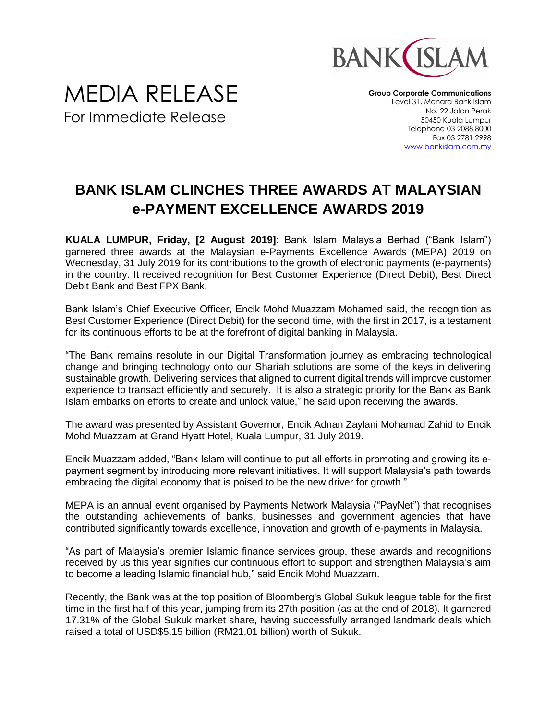

**Group Corporate Communications** Level 31, Menara Bank Islam No. 22 Jalan Perak 50450 Kuala Lumpur Telephone 03 2088 8000 Fax 03 2781 2998 [www.bankislam.com.my](http://www.bankislam.com.my/)

## **BANK ISLAM CLINCHES THREE AWARDS AT MALAYSIAN e-PAYMENT EXCELLENCE AWARDS 2019**

**KUALA LUMPUR, Friday, [2 August 2019]**: Bank Islam Malaysia Berhad ("Bank Islam") garnered three awards at the Malaysian e-Payments Excellence Awards (MEPA) 2019 on Wednesday, 31 July 2019 for its contributions to the growth of electronic payments (e-payments) in the country. It received recognition for Best Customer Experience (Direct Debit), Best Direct Debit Bank and Best FPX Bank.

Bank Islam's Chief Executive Officer, Encik Mohd Muazzam Mohamed said, the recognition as Best Customer Experience (Direct Debit) for the second time, with the first in 2017, is a testament for its continuous efforts to be at the forefront of digital banking in Malaysia.

"The Bank remains resolute in our Digital Transformation journey as embracing technological change and bringing technology onto our Shariah solutions are some of the keys in delivering sustainable growth. Delivering services that aligned to current digital trends will improve customer experience to transact efficiently and securely. It is also a strategic priority for the Bank as Bank Islam embarks on efforts to create and unlock value," he said upon receiving the awards.

The award was presented by Assistant Governor, Encik Adnan Zaylani Mohamad Zahid to Encik Mohd Muazzam at Grand Hyatt Hotel, Kuala Lumpur, 31 July 2019.

Encik Muazzam added, "Bank Islam will continue to put all efforts in promoting and growing its epayment segment by introducing more relevant initiatives. It will support Malaysia's path towards embracing the digital economy that is poised to be the new driver for growth."

MEPA is an annual event organised by Payments Network Malaysia ("PayNet") that recognises the outstanding achievements of banks, businesses and government agencies that have contributed significantly towards excellence, innovation and growth of e-payments in Malaysia.

"As part of Malaysia's premier Islamic finance services group, these awards and recognitions received by us this year signifies our continuous effort to support and strengthen Malaysia's aim to become a leading Islamic financial hub," said Encik Mohd Muazzam.

Recently, the Bank was at the top position of Bloomberg's Global Sukuk league table for the first time in the first half of this year, jumping from its 27th position (as at the end of 2018). It garnered 17.31% of the Global Sukuk market share, having successfully arranged landmark deals which raised a total of USD\$5.15 billion (RM21.01 billion) worth of Sukuk.